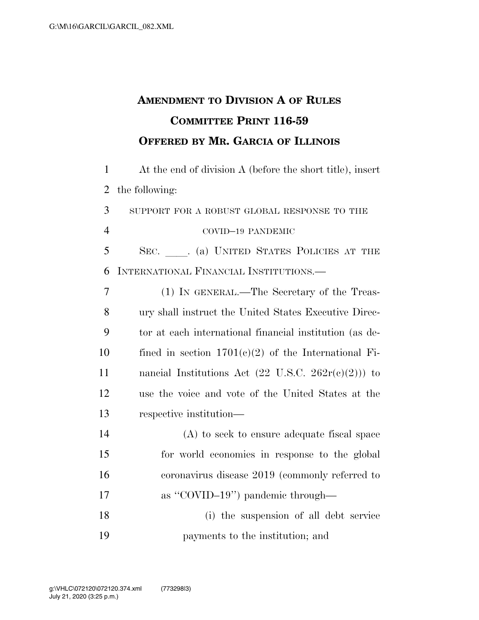## **AMENDMENT TO DIVISION A OF RULES COMMITTEE PRINT 116-59 OFFERED BY MR. GARCIA OF ILLINOIS**

1 At the end of division A (before the short title), insert 2 the following:

3 SUPPORT FOR A ROBUST GLOBAL RESPONSE TO THE 4 COVID–19 PANDEMIC 5 SEC. (a) UNITED STATES POLICIES AT THE

6 INTERNATIONAL FINANCIAL INSTITUTIONS.—

 (1) IN GENERAL.—The Secretary of the Treas- ury shall instruct the United States Executive Direc- tor at each international financial institution (as de-10 fined in section  $1701(c)(2)$  of the International Fi-11 nancial Institutions Act  $(22 \text{ U.S.C. } 262r(c)(2))$  to use the voice and vote of the United States at the respective institution—

 (A) to seek to ensure adequate fiscal space for world economies in response to the global coronavirus disease 2019 (commonly referred to 17 as "COVID–19") pandemic through— (i) the suspension of all debt service payments to the institution; and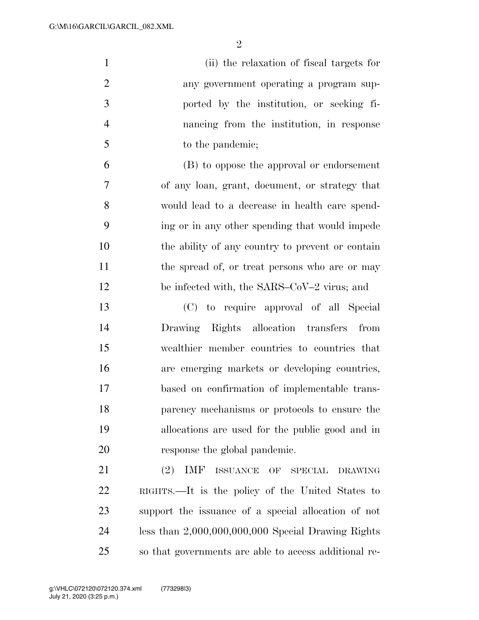| $\mathbf{1}$   | (ii) the relaxation of fiscal targets for                                                |
|----------------|------------------------------------------------------------------------------------------|
| $\overline{2}$ | any government operating a program sup-                                                  |
| 3              | ported by the institution, or seeking fi-                                                |
| $\overline{4}$ | nancing from the institution, in response                                                |
| $\mathfrak{S}$ | to the pandemic;                                                                         |
| 6              | (B) to oppose the approval or endorsement                                                |
| $\tau$         | of any loan, grant, document, or strategy that                                           |
| 8              | would lead to a decrease in health care spend-                                           |
| 9              | ing or in any other spending that would impede                                           |
| 10             | the ability of any country to prevent or contain                                         |
| 11             | the spread of, or treat persons who are or may                                           |
| 12             | be infected with, the SARS–CoV–2 virus; and                                              |
| 13             | (C) to require approval of all Special                                                   |
| 14             | Drawing Rights allocation transfers from                                                 |
| 15             | wealthier member countries to countries that                                             |
| 16             | are emerging markets or developing countries,                                            |
| 17             | based on confirmation of implementable trans-                                            |
| 18             | parency mechanisms or protocols to ensure the                                            |
| 19             | allocations are used for the public good and in                                          |
| 20             | response the global pandemic.                                                            |
| 21             | <b>IMF</b><br>(2)<br>$\operatorname{ISSUANCE}$<br>OF<br><b>SPECIAL</b><br><b>DRAWING</b> |
| 22             | RIGHTS.—It is the policy of the United States to                                         |
| 23             | support the issuance of a special allocation of not                                      |
| 24             | less than $2,000,000,000,000$ Special Drawing Rights                                     |

so that governments are able to access additional re-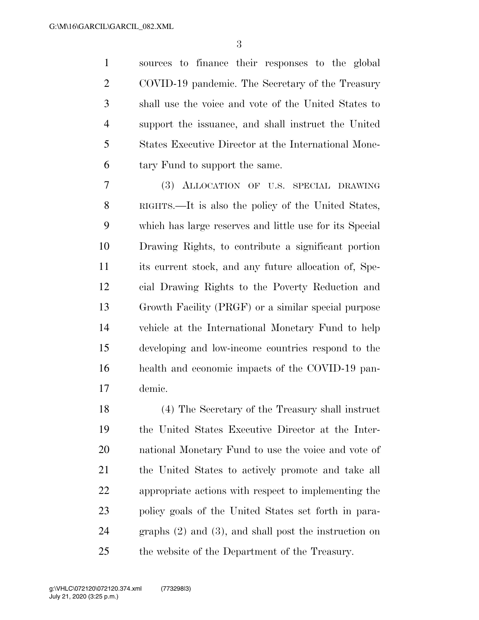sources to finance their responses to the global COVID-19 pandemic. The Secretary of the Treasury shall use the voice and vote of the United States to support the issuance, and shall instruct the United States Executive Director at the International Mone-tary Fund to support the same.

 (3) ALLOCATION OF U.S. SPECIAL DRAWING RIGHTS.—It is also the policy of the United States, which has large reserves and little use for its Special Drawing Rights, to contribute a significant portion its current stock, and any future allocation of, Spe- cial Drawing Rights to the Poverty Reduction and Growth Facility (PRGF) or a similar special purpose vehicle at the International Monetary Fund to help developing and low-income countries respond to the health and economic impacts of the COVID-19 pan-demic.

 (4) The Secretary of the Treasury shall instruct the United States Executive Director at the Inter- national Monetary Fund to use the voice and vote of the United States to actively promote and take all appropriate actions with respect to implementing the policy goals of the United States set forth in para- graphs (2) and (3), and shall post the instruction on the website of the Department of the Treasury.